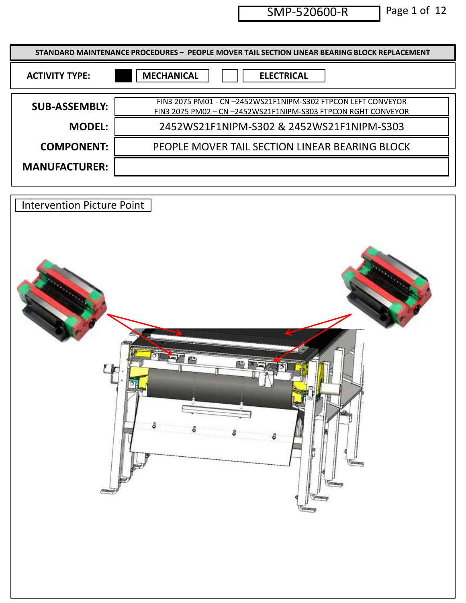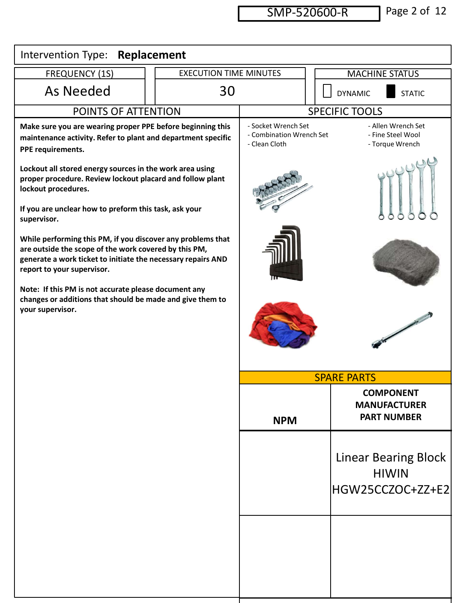|                                                                                                                                                                                                                      |                               | SMP-520600-R                                                     |              | Page 2 of 12                                                    |
|----------------------------------------------------------------------------------------------------------------------------------------------------------------------------------------------------------------------|-------------------------------|------------------------------------------------------------------|--------------|-----------------------------------------------------------------|
| Intervention Type:                                                                                                                                                                                                   | Replacement                   |                                                                  |              |                                                                 |
| <b>FREQUENCY (1S)</b>                                                                                                                                                                                                | <b>EXECUTION TIME MINUTES</b> |                                                                  |              | <b>MACHINE STATUS</b>                                           |
| As Needed                                                                                                                                                                                                            | 30                            |                                                                  | $\mathsf{L}$ | <b>STATIC</b><br><b>DYNAMIC</b>                                 |
| POINTS OF ATTENTION                                                                                                                                                                                                  |                               |                                                                  |              | <b>SPECIFIC TOOLS</b>                                           |
| Make sure you are wearing proper PPE before beginning this<br>maintenance activity. Refer to plant and department specific<br>PPE requirements.                                                                      |                               | - Socket Wrench Set<br>- Combination Wrench Set<br>- Clean Cloth |              | - Allen Wrench Set<br>- Fine Steel Wool<br>- Torque Wrench      |
| Lockout all stored energy sources in the work area using<br>proper procedure. Review lockout placard and follow plant<br>lockout procedures.<br>If you are unclear how to preform this task, ask your<br>supervisor. |                               |                                                                  |              | AMA                                                             |
| While performing this PM, if you discover any problems that<br>are outside the scope of the work covered by this PM,<br>generate a work ticket to initiate the necessary repairs AND<br>report to your supervisor.   |                               |                                                                  |              |                                                                 |
| Note: If this PM is not accurate please document any<br>changes or additions that should be made and give them to<br>your supervisor.                                                                                |                               |                                                                  |              |                                                                 |
|                                                                                                                                                                                                                      |                               |                                                                  |              | <b>SPARE PARTS</b>                                              |
|                                                                                                                                                                                                                      |                               | <b>NPM</b>                                                       |              | <b>COMPONENT</b><br><b>MANUFACTURER</b><br><b>PART NUMBER</b>   |
|                                                                                                                                                                                                                      |                               |                                                                  |              | <b>Linear Bearing Block</b><br><b>HIWIN</b><br>HGW25CCZOC+ZZ+E2 |
|                                                                                                                                                                                                                      |                               |                                                                  |              |                                                                 |
|                                                                                                                                                                                                                      |                               |                                                                  |              |                                                                 |